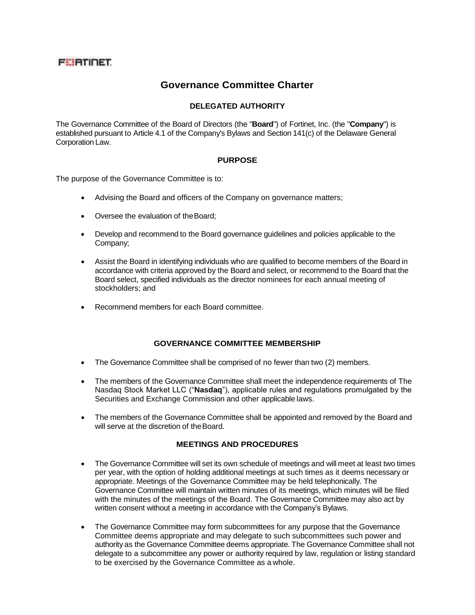# **FEBTINET**

# **Governance Committee Charter**

### **DELEGATED AUTHORITY**

The Governance Committee of the Board of Directors (the "**Board**") of Fortinet, Inc. (the "**Company**") is established pursuant to Article 4.1 of the Company's Bylaws and Section 141(c) of the Delaware General Corporation Law.

#### **PURPOSE**

The purpose of the Governance Committee is to:

- Advising the Board and officers of the Company on governance matters;
- Oversee the evaluation of theBoard;
- Develop and recommend to the Board governance guidelines and policies applicable to the Company;
- Assist the Board in identifying individuals who are qualified to become members of the Board in accordance with criteria approved by the Board and select, or recommend to the Board that the Board select, specified individuals as the director nominees for each annual meeting of stockholders; and
- Recommend members for each Board committee.

## **GOVERNANCE COMMITTEE MEMBERSHIP**

- The Governance Committee shall be comprised of no fewer than two (2) members.
- The members of the Governance Committee shall meet the independence requirements of The Nasdaq Stock Market LLC ("**Nasdaq**"), applicable rules and regulations promulgated by the Securities and Exchange Commission and other applicable laws.
- The members of the Governance Committee shall be appointed and removed by the Board and will serve at the discretion of the Board.

#### **MEETINGS AND PROCEDURES**

- The Governance Committee will set its own schedule of meetings and will meet at least two times per year, with the option of holding additional meetings at such times as it deems necessary or appropriate. Meetings of the Governance Committee may be held telephonically. The Governance Committee will maintain written minutes of its meetings, which minutes will be filed with the minutes of the meetings of the Board. The Governance Committee may also act by written consent without a meeting in accordance with the Company's Bylaws.
- The Governance Committee may form subcommittees for any purpose that the Governance Committee deems appropriate and may delegate to such subcommittees such power and authority as the Governance Committee deems appropriate. The Governance Committee shall not delegate to a subcommittee any power or authority required by law, regulation or listing standard to be exercised by the Governance Committee as a whole.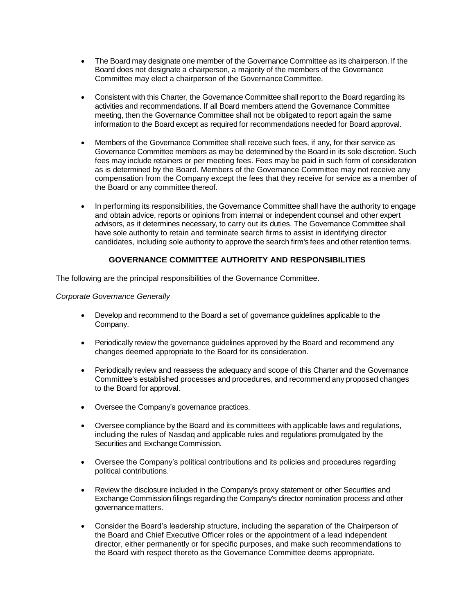- The Board may designate one member of the Governance Committee as its chairperson. If the Board does not designate a chairperson, a majority of the members of the Governance Committee may elect a chairperson of the GovernanceCommittee.
- Consistent with this Charter, the Governance Committee shall report to the Board regarding its activities and recommendations. If all Board members attend the Governance Committee meeting, then the Governance Committee shall not be obligated to report again the same information to the Board except as required for recommendations needed for Board approval.
- Members of the Governance Committee shall receive such fees, if any, for their service as Governance Committee members as may be determined by the Board in its sole discretion. Such fees may include retainers or per meeting fees. Fees may be paid in such form of consideration as is determined by the Board. Members of the Governance Committee may not receive any compensation from the Company except the fees that they receive for service as a member of the Board or any committee thereof.
- In performing its responsibilities, the Governance Committee shall have the authority to engage and obtain advice, reports or opinions from internal or independent counsel and other expert advisors, as it determines necessary, to carry out its duties. The Governance Committee shall have sole authority to retain and terminate search firms to assist in identifying director candidates, including sole authority to approve the search firm's fees and other retention terms.

#### **GOVERNANCE COMMITTEE AUTHORITY AND RESPONSIBILITIES**

The following are the principal responsibilities of the Governance Committee.

#### *Corporate Governance Generally*

- Develop and recommend to the Board a set of governance guidelines applicable to the Company.
- Periodically review the governance guidelines approved by the Board and recommend any changes deemed appropriate to the Board for its consideration.
- Periodically review and reassess the adequacy and scope of this Charter and the Governance Committee's established processes and procedures, and recommend any proposed changes to the Board for approval.
- Oversee the Company's governance practices.
- Oversee compliance by the Board and its committees with applicable laws and regulations, including the rules of Nasdaq and applicable rules and regulations promulgated by the Securities and Exchange Commission.
- Oversee the Company's political contributions and its policies and procedures regarding political contributions.
- Review the disclosure included in the Company's proxy statement or other Securities and Exchange Commission filings regarding the Company's director nomination process and other governance matters.
- Consider the Board's leadership structure, including the separation of the Chairperson of the Board and Chief Executive Officer roles or the appointment of a lead independent director, either permanently or for specific purposes, and make such recommendations to the Board with respect thereto as the Governance Committee deems appropriate.